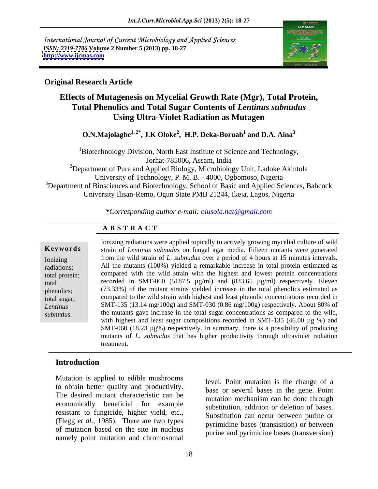International Journal of Current Microbiology and Applied Sciences *ISSN: 2319-7706* **Volume 2 Number 5 (2013) pp. 18-27 <http://www.ijcmas.com>**



### **Original Research Article**

# **Effects of Mutagenesis on Mycelial Growth Rate (Mgr), Total Protein, Total Phenolics and Total Sugar Contents of** *Lentinus subnudus* **Using Ultra-Violet Radiation as Mutagen**

**O.N.Majolagbe1, 2\*, J.K Oloke2 , H.P. Deka-Boruah**  $1$  and **D** A  $\text{A}$  in  $^3$ **and D.A. Aina<sup>3</sup>**

<sup>1</sup>Biotechnology Division, North East Institute of Science and Technology, Jorhat-785006, Assam, India

<sup>2</sup>Department of Pure and Applied Biology, Microbiology Unit, Ladoke Akintola University of Technology, P. M. B. - 4000, Ogbomoso, Nigeria <sup>3</sup>Department of Biosciences and Biotechnology, School of Basic and Applied Sciences, Babcock University Ilisan-Remo, Ogun State PMB 21244, Ikeja, Lagos, Nigeria

*\*Corresponding author e-mail: olusola.nat@gmail.com*

# **A B S T R A C T**

Lentinus SMT-135 (13.14 mg/100g) and SMT-030 (0.86 mg/100g) respectively. About 80% of  $\alpha$  sugar concentrations as compared to the wild, the processes the sixteed at the general  $\frac{1}{2}$  and  $\frac{1}{2}$  and  $\frac{1}{2}$  are general  $\frac{1}{2}$  at the general  $\frac{1}{2}$  and  $\frac{1}{2}$  and  $\frac{1}{2}$  and  $\frac{1}{2}$  and  $\frac{1}{2}$  and  $\frac{1}{2}$  and  $\frac{1}{2}$  and  $\frac{1}{2$ **Ke ywo rds** strain of *Lentinus subnudus* on fungal agar media. Fifteen mutants were generated Ionizing from the wild strain of *L. subnudus* over a period of 4 hours at 15 minutes intervals. radiations; All the mutants (100%) yielded a remarkable increase in total protein estimated as total protein; compared with the wild strain with the highest and lowest protein concentrations total recorded in SMT-060 (5187.5 µg/ml) and (833.65 µg/ml) respectively. Eleven phenolics; (73.33%) of the mutant strains yielded increase in the total phenolics estimated as total sugar, compared to the wild strain with highest and least phenolic concentrations recorded in *sure in text* Ionizing radiations were applied topically to actively growing mycelial culture of wild<br>
strain of *Lentinus subnudus* on fungal agar media. Fifteen mutants were generated<br>
from the wild strain of *L. subnud* the mutants gave increase in the total sugar concentrations as compared to the wild, with highest and least sugar compositions recorded in SMT-135 (46.00  $\mu$ g %) and SMT-060 (18.23 µg%) respectively. In summary, there is a possibility of producing mutants of *L. subnudus* that has higher productivity through ultraviolet radiation treatment.

# **Introduction**

Mutation is applied to edible mushrooms to obtain better quality and productivity. The desired mutant characteristic can be economically beneficial for example resistant to fungicide, higher yield, etc., (Flegg *et al*., 1985). There are two types of mutation based on the site in nucleus namely point mutation and chromosomal

level. Point mutation is the change of a base or several bases in the gene. Point mutation mechanism can be done through substitution, addition or deletion of bases. Substitution can occur between purine or pyrimidine bases (transisition) or between purine and pyrimidine bases (transversion)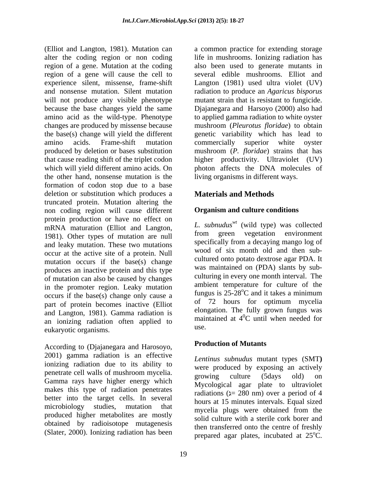(Elliot and Langton, 1981). Mutation can a common practice for extending storage alter the coding region or non coding region of a gene. Mutation at the coding region of a gene will cause the cell to several edible mushrooms. Elliot and experience silent, missense, frame-shift and nonsense mutation. Silent mutation radiation to produce an *Agaricus bisporus* will not produce any visible phenotype mutant strain that is resistant to fungicide. because the base changes yield the same Djajanegara and Harsoyo (2000) also had amino acid as the wild-type. Phenotype to applied gamma radiation to white oyster changes are produced by missense because mushroom (*Pleurotus floridae*) to obtain the base(s) change will yield the different amino acids. Frame-shift mutation commercially superior white oyster produced by deletion or bases substitution mushroom (*P. floridae*) strains that has that cause reading shift of the triplet codon higher productivity. Ultraviolet (UV) which will yield different amino acids. On the other hand, nonsense mutation is the formation of codon stop due to a base deletion or substitution which produces a truncated protein. Mutation altering the non coding region will cause different protein production or have no effect on mRNA maturation (Elliot and Langton, 1981). Other types of mutation are null and leaky mutation. These two mutations occur at the active site of a protein. Null mutation occurs if the base(s) change produces an inactive protein and this type of mutation can also be caused by changes in the promoter region. Leaky mutation ambient temperature for culture of the cocurs if the base(s) change only cause a summary in the cocurs is  $25-28^{\circ}$ C and it takes a minimum occurs if the base(s) change only cause a straight induced a straight of  $\frac{1}{2}$  causal intervals of  $\frac{1}{2}$  hours for optimum mycelia part of protein becomes inactive (Elliot and Langton, 1981). Gamma radiation is an ionizing radiation often applied to man use. eukaryotic organisms.

According to (Djajanegara and Harosoyo, 2001) gamma radiation is an effective ionizing radiation due to its ability to penetrate cell walls of mushroom mycelia. The exposure culture (5 days old) on Gamma rays have higher energy which makes this type of radiation penetrates better into the target cells. In several microbiology studies, mutation that mycelia plugs were obtained from the produced higher metabolites are mostly obtained by radioisotope mutagenesis (Slater, 2000). Ionizing radiation has been

life in mushrooms. Ionizing radiation has also been used to generate mutants in Langton (1981) used ultra violet (UV) genetic variability which has lead to photon affects the DNA molecules of living organisms in different ways.

# **Materials and Methods**

### **Organism and culture conditions**

*L. subnuduswt* (wild type) was collected from green vegetation environment specifically from a decaying mango log of wood of six month old and then sub cultured onto potato dextrose agar PDA. It was maintained on (PDA) slants by sub culturing in every one month interval. The ambient temperature for culture of the fungus is  $25-\overline{28}^{\circ}\text{C}$  and it takes a minimum of 72 hours for optimum mycelia elongation. The fully grown fungus was maintained at  $4^0C$  until when needed for  ${}^{0}C$  until when needed for use.

### **Production of Mutants**

*Lentinus subnudus* mutant types (SMT**)**  were produced by exposing an actively growing culture (5days old) on Mycological agar plate to ultraviolet radiations ( $x = 280$  nm) over a period of 4 hours at 15 minutes intervals. Equal sized mycelia plugs were obtained from the solid culture with a sterile cork borer and then transferred onto the centre of freshly prepared agar plates, incubated at  $25^{\circ}$ C.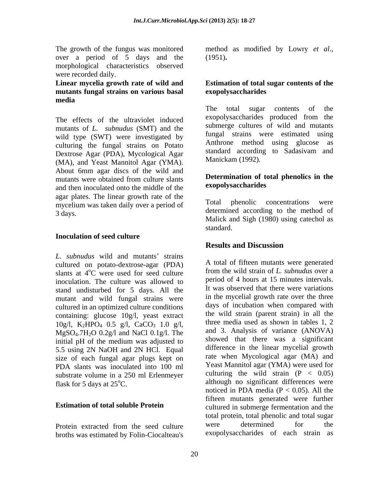The growth of the fungus was monitored method as modified by Lowry *et al*., over a period of 5 days and the morphological characteristics observed were recorded daily.

# **mutants fungal strains on various basal media**

The effects of the ultraviolet induced mutants of *L. subnudus* (SMT) and the wild type (SWT) were investigated by tungal strains were estimated using<br>anthrone method using glucose as culturing the fungal strains on Potato<br>
Rextress Ages (BDA) Musclesical Ages standard according to Sadasiyam and Dextrose Agar (PDA), Mycological Agar (MA), and Yeast Mannitol Agar (YMA). About 6mm agar discs of the wild and mutants were obtained from culture slants **Determination of total phenolics in the** and then inoculated onto the middle of the **exopolysaccharides** agar plates. The linear growth rate of the<br>musculium was taken daily over a nariod of Total phenolic concentrations were mycelium was taken daily over a period of 3 days. determined according to the method of

### **Inoculation of seed culture**

*L. subnudus* wild and mutants' strains cultured on potato-dextrose-agar (PDA) slants at  $4^{\circ}$ C were used for seed culture inoculation. The culture was allowed to stand undisturbed for 5 days. All the mutant and wild fungal strains were cultured in an optimized culture conditions containing: glucose 10g/l, yeast extract  $10g/l$ , K<sub>2</sub>HPO<sub>4</sub> 0.5 g/l, CaCO<sub>3</sub> 1.0 g/l,  $MgSO<sub>4</sub>.7H<sub>2</sub>O$  0.2g/l and NaCl 0.1g/l. The initial pH of the medium was adjusted to 5.5 using 2N NaOH and 2N HCl. Equal size of each fungal agar plugs kept on PDA slants was inoculated into 100 ml substrate volume in a 250 ml Erlenmeyer

broths was estimated by Folin-Ciocalteau's

(1951)**.**

### **Linear mycelia growth rate of wild and Estimation of total sugar contents of the exopolysaccharides**

The total sugar contents of the exopolysaccharides produced from the submerge cultures of wild and mutants fungal strains were estimated using Anthrone method using glucose standard according to Sadasivam and Manickam (1992).

### **Determination of total phenolics in the exopolysaccharides**

phenolic concentrations Malick and Sigh (1980) using catechol as standard. **Executive Standard** 

# **Results and Discussion**

<sup>o</sup>C were used for seed culture from the wild strain of *L. subnudus* over a flask for 5 days at 25°C. although no significant differences were **Estimation of total soluble Protein** cultured in submerge fermentation and the Protein extracted from the seed culture were determined for the A total of fifteen mutants were generated period of 4 hours at 15 minutes intervals. It was observed that there were variations in the mycelial growth rate over the three days of incubation when compared with the wild strain (parent strain) in all the three media used as shown in tables 1, 2 and 3. Analysis of variance (ANOVA) showed that there was a significant difference in the linear mycelial growth rate when Mycological agar (MA) and Yeast Mannitol agar (YMA) were used for culturing the wild strain  $(P < 0.05)$ noticed in PDA media ( $P < 0.05$ ). All the fifteen mutants generated were further total protein, total phenolic and total sugar were determined for the exopolysaccharides of each strain as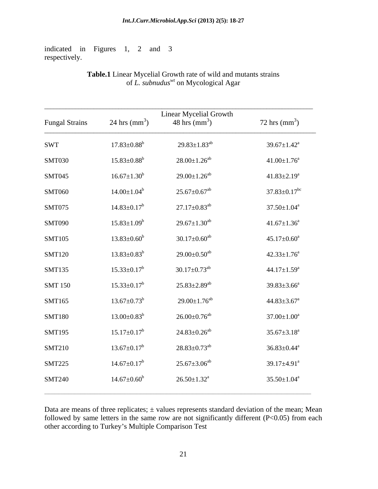indicated in Figures 1, 2 and 3 respectively.

### **Table.1** Linear Mycelial Growth rate of wild and mutants strains of *L. subnuduswt* on Mycological Agar

|                       |                               | Linear Mycelial Growth         |                                |
|-----------------------|-------------------------------|--------------------------------|--------------------------------|
| <b>Fungal Strains</b> | 24 hrs $\text{(mm}^3)$        | 48 hrs (mm <sup>3</sup> )      | 72 hrs $\text{(mm}^3)$         |
| <b>SWT</b>            | $17.83 \pm 0.88^b$            | $29.83 \pm 1.83^{ab}$          | $39.67 \pm 1.42^{\text{a}}$    |
| <b>SMT030</b>         | $15.83 \pm 0.88$ <sup>b</sup> | $28.00 \pm 1.26^{ab}$          | $41.00 \pm 1.76^{\circ}$       |
| SMT045                | $16.67 \pm 1.30^b$            | $29.00 \pm 1.26^{ab}$          | $41.83 \pm 2.19^a$             |
| <b>SMT060</b>         | $14.00 \pm 1.04^b$            | $25.67 \pm 0.67$ <sup>ab</sup> | $37.83 \pm 0.17$ <sup>bc</sup> |
| SMT075                | $14.83 \pm 0.17^b$            | $27.17 \pm 0.83^{ab}$          | $37.50 \pm 1.04^a$             |
| <b>SMT090</b>         | $15.83 \pm 1.09^b$            | $29.67 \pm 1.30^{ab}$          | $41.67 \pm 1.36^a$             |
| <b>SMT105</b>         | $13.83 \pm 0.60^b$            | $30.17 \pm 0.60$ <sup>ab</sup> | $45.17 \pm 0.60^a$             |
| <b>SMT120</b>         | $13.83 \pm 0.83^b$            | $29.00 \pm 0.50^{ab}$          | $42.33 \pm 1.76^{\circ}$       |
| <b>SMT135</b>         | $15.33 \pm 0.17^b$            | $30.17 \pm 0.73$ <sup>ab</sup> | $44.17 \pm 1.59^{\text{a}}$    |
| <b>SMT 150</b>        | $15.33 \pm 0.17^b$            | $25.83 \pm 2.89$ <sup>ab</sup> | $39.83 \pm 3.66^a$             |
| SMT165                | $13.67 \pm 0.73^b$            | $29.00 \pm 1.76^{ab}$          | $44.83 \pm 3.67$ <sup>a</sup>  |
| <b>SMT180</b>         | $13.00 \pm 0.83^b$            | $26.00\pm0.76^{ab}$            | $37.00 \pm 1.00^a$             |
| <b>SMT195</b>         | $15.17 \pm 0.17^b$            | $24.83 \pm 0.26^{ab}$          | $35.67 \pm 3.18^a$             |
| <b>SMT210</b>         | $13.67 \pm 0.17^b$            | $28.83 \pm 0.73$ <sup>ab</sup> | $36.83 \pm 0.44^a$             |
| <b>SMT225</b>         | $14.67 \pm 0.17^b$            | $25.67 \pm 3.06^{ab}$          | 39.17 $\pm$ 4.91 <sup>a</sup>  |
| <b>SMT240</b>         | $14.67 \pm 0.60^b$            | $26.50 \pm 1.32^a$             | $35.50 \pm 1.04^a$             |
|                       |                               |                                |                                |

Data are means of three replicates;  $\pm$  values represents standard deviation of the mean; Mean followed by same letters in the same row are not significantly different  $(P<0.05)$  from each other according to Turkey's Multiple Comparison Test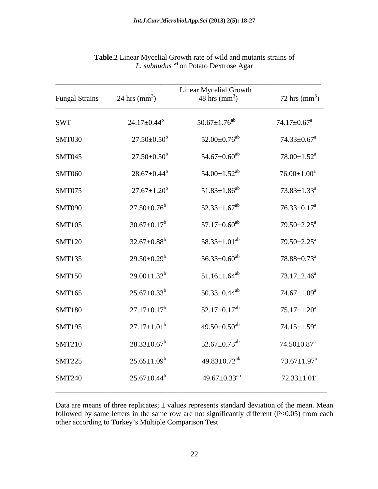| <b>Fungal Strains</b> | 24 hrs $\text{(mm}^3)$                | <b>Linear Mycelial Growth</b><br>48 hrs $\text{(mm}^3)$ | 72 hrs $\text{(mm}^3)$        |
|-----------------------|---------------------------------------|---------------------------------------------------------|-------------------------------|
| <b>SWT</b>            | $24.17 \pm 0.44^b$                    | $50.67 \pm 1.76^{ab}$                                   | $74.17 \pm 0.67$ <sup>a</sup> |
| SMT030                | $27.50{\pm}0.50^{\rm b}$              | $52.00\pm0.76^\mathrm{ab}$                              | $74.33 \pm 0.67$ <sup>a</sup> |
| <b>SMT045</b>         | $27.50{\scriptstyle \pm 0.50^b}$      | $54.67 {\pm} 0.60^{ab}$                                 | $78.00 \pm 1.52^{\text{a}}$   |
| <b>SMT060</b>         | $28.67 \pm 0.44^{\mathrm{b}}$         | $54.00 \pm 1.52$ <sup>ab</sup>                          | $76.00 \pm 1.00^a$            |
| SMT075                | $27.67 \pm 1.20^b$                    | $51.83 \pm 1.86^{ab}$                                   | $73.83 \pm 1.33^{\text{a}}$   |
| <b>SMT090</b>         | $27.50{\scriptstyle \pm0.76}^{\rm b}$ | $52.33 \pm 1.67$ <sup>ab</sup>                          | $76.33 \pm 0.17^{\text{a}}$   |
| <b>SMT105</b>         | $30.67 \pm 0.17^b$                    | $57.17 \pm 0.60^{ab}$                                   | $79.50 \pm 2.25^{\text{a}}$   |
| <b>SMT120</b>         | $32.67 \pm 0.88^b$                    | $58.33 \pm 1.01^{ab}$                                   | $79.50 \pm 2.25^{\text{a}}$   |
| SMT135                | $29.50 \pm 0.29^b$                    | $56.33 \pm 0.60^{ab}$                                   | $78.88 \pm 0.73^{\text{a}}$   |
| <b>SMT150</b>         | $29.00 \pm 1.32^b$                    | $51.16 \pm 1.64^{ab}$                                   | $73.17 \pm 2.46^a$            |
| SMT165                | $25.67 \pm 0.33^b$                    | $50.33 \pm 0.44$ <sup>ab</sup>                          | $74.67 \pm 1.09^{\mathrm{a}}$ |
| <b>SMT180</b>         | $27.17 \pm 0.17^b$                    | $52.17 \pm 0.17$ <sup>ab</sup>                          | $75.17 \pm 1.20^a$            |
| <b>SMT195</b>         | $27.17 \pm 1.01^{\rm b}$              | 49.50 $\pm$ 0.50 $^{\rm ab}$                            | $74.15 \pm 1.59^{\mathrm{a}}$ |
| <b>SMT210</b>         | $28.33 \pm 0.67^b$                    | $52.67 \pm 0.73^{ab}$                                   | $74.50 \pm 0.87$ <sup>a</sup> |
| <b>SMT225</b>         | $25.65 \pm 1.09^b$                    | $49.83 \pm 0.72$ <sup>ab</sup>                          | $73.67 \pm 1.97^{\text{a}}$   |
| <b>SMT240</b>         | $25.67 \pm 0.44^b$                    | 49.67 $\pm$ 0.33 <sup>ab</sup>                          | $72.33 \pm 1.01^a$            |

**Table.2** Linear Mycelial Growth rate of wild and mutants strains of *L. subnudus* wt on Potato Dextrose Agar

Data are means of three replicates;  $\pm$  values represents standard deviation of the mean. Mean followed by same letters in the same row are not significantly different (P<0.05) from each other according to Turkey's Multiple Comparison Test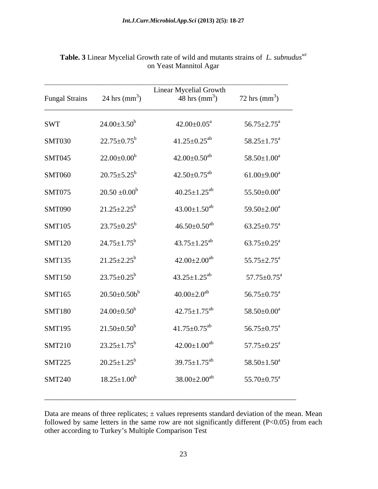|                       |                               | Linear Mycelial Growth         |                               |
|-----------------------|-------------------------------|--------------------------------|-------------------------------|
| <b>Fungal Strains</b> | 24 hrs $\text{(mm}^3)$        | 48 hrs $\text{(mm}^3)$         | 72 hrs $\text{(mm}^3)$        |
| SWT                   | $24.00 \pm 3.50^b$            | $42.00 \pm 0.05^a$             | $56.75 \pm 2.75^{\text{a}}$   |
| <b>SMT030</b>         | $22.75 \pm 0.75^b$            | $41.25 \pm 0.25$ <sup>ab</sup> | $58.25 \pm 1.75^{\text{a}}$   |
| <b>SMT045</b>         | $22.00\pm0.00^{\mathrm{b}}$   | $42.00\pm0.50^{\mathrm{ab}}$   | $58.50{\pm}1.00^a$            |
| <b>SMT060</b>         | $20.75 \pm 5.25^b$            | $42.50 \pm 0.75$ <sup>ab</sup> | $61.00 \pm 9.00^a$            |
| SMT075                | $20.50 \pm 0.00^b$            | $40.25 \pm 1.25^{ab}$          | $55.50 \pm 0.00^a$            |
| <b>SMT090</b>         | $21.25 \pm 2.25^b$            | $43.00 \pm 1.50^{ab}$          | $59.50 \pm 2.00^a$            |
| <b>SMT105</b>         | $23.75 \pm 0.25^b$            | $46.50\pm0.50^{ab}$            | $63.25 \pm 0.75^{\text{a}}$   |
| <b>SMT120</b>         | $24.75 \pm 1.75$ <sup>b</sup> | $43.75 \pm 1.25^{ab}$          | $63.75 \pm 0.25^{\text{a}}$   |
| <b>SMT135</b>         | $21.25 \pm 2.25^b$            | $42.00\pm2.00^{ab}$            | $55.75 \pm 2.75^{\mathrm{a}}$ |
| <b>SMT150</b>         | $23.75 \pm 0.25^b$            | $43.25 \pm 1.25^{ab}$          | $57.75 \pm 0.75^{\text{a}}$   |
| SMT165                | $20.50\pm0.50b^b$             | $40.00{\pm}2.0^{ab}$           | $56.75 \pm 0.75^{\text{a}}$   |
| <b>SMT180</b>         | $24.00\pm0.50^b$              | $42.75 \pm 1.75$ <sup>ab</sup> | $58.50{\pm}0.00^{\mathrm{a}}$ |
| <b>SMT195</b>         | $21.50\pm0.50^b$              | $41.75 \pm 0.75$ <sup>ab</sup> | $56.75 \pm 0.75^{\text{a}}$   |
| <b>SMT210</b>         | $23.25 \pm 1.75^b$            | $42.00 \pm 1.00^{ab}$          | $57.75 \pm 0.25^{\text{a}}$   |
| <b>SMT225</b>         | $20.25 \pm 1.25^b$            | $39.75 \pm 1.75$ <sup>ab</sup> | $58.50{\pm}1.50^a$            |
| <b>SMT240</b>         | $18.25 \pm 1.00^b$            | $38.00 \pm 2.00^{ab}$          | $55.70 \pm 0.75^{\text{a}}$   |
|                       |                               |                                |                               |

### **Table. 3** Linear Mycelial Growth rate of wild and mutants strains of *L. subnuduswt* on Yeast Mannitol Agar

Data are means of three replicates;  $\pm$  values represents standard deviation of the mean. Mean followed by same letters in the same row are not significantly different  $(P<0.05)$  from each other according to Turkey s Multiple Comparison Test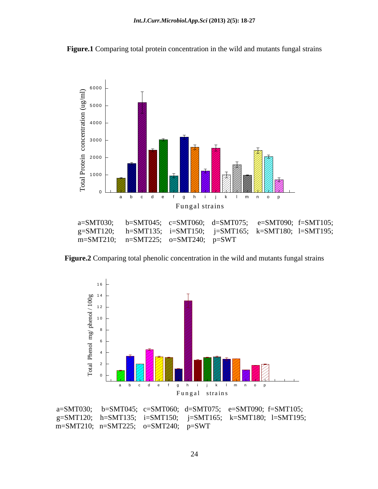

**Figure.1** Comparing total protein concentration in the wild and mutants fungal strains

**Figure.2** Comparing total phenolic concentration in the wild and mutants fungal strains



a=SMT030; b=SMT045; c=SMT060; d=SMT075; e=SMT090; f=SMT105; g=SMT120; h=SMT135; i=SMT150; j=SMT165; k=SMT180; l=SMT195; m=SMT210; n=SMT225; o=SMT240; p=SWT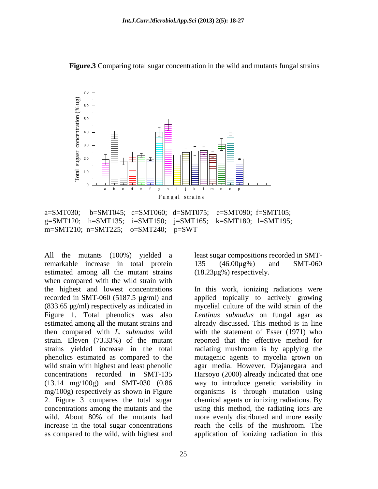

**Figure.3** Comparing total sugar concentration in the wild and mutants fungal strains

a=SMT030; b=SMT045; c=SMT060; d=SMT075; e=SMT090; f=SMT105; g=SMT120; h=SMT135; i=SMT150; j=SMT165; k=SMT180; l=SMT195; m=SMT210; n=SMT225; o=SMT240; p=SWT

remarkable increase in total protein 135 (46.00µg%) and SMT-060 estimated among all the mutant strains when compared with the wild strain with the highest and lowest concentrations In this work, ionizing radiations were recorded in SMT-060 (5187.5 µg/ml) and applied topically to actively growing (833.65 µg/ml) respectively as indicated in mycelial culture of the wild strain of the Figure 1. Total phenolics was also *Lentinus subnudus* on fungal agar as estimated among all the mutant strains and already discussed. This method is in line then compared with *L. subnudus* wild with the statement of Esser (1971) who strain. Eleven (73.33%) of the mutant reported that the effective method for strains yielded increase in the total radiating mushroom is by applying the phenolics estimated as compared to the mutagenic agents to mycelia grown on wild strain with highest and least phenolic agar media. However, Djajanegara and concentrations recorded in SMT-135 Harsoyo (2000) already indicated that one (13.14 mg/100g) and SMT-030 (0.86 way to introduce genetic variability in mg/100g) respectively as shown in Figure organisms is through mutation using 2. Figure 3 compares the total sugar chemical agents or ionizing radiations. By concentrations among the mutants and the using this method, the radiating ions are wild. About 80% of the mutants had more evenly distributed and more easily increase in the total sugar concentrations reach the cells of the mushroom. The as compared to the wild, with highest and application of ionizing radiation in this

25

All the mutants (100%) yielded a least sugar compositions recorded in SMT- 135 (46.00µg%) and SMT-060 (18.23µg%) respectively.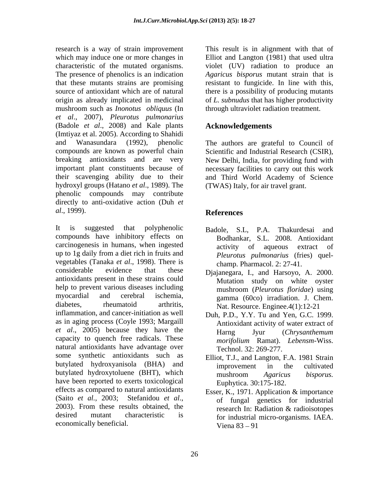research is a way of strain improvement This result is in alignment with that of which may induce one or more changes in Elliot and Langton (1981) that used ultra characteristic of the mutated organisms. violet (UV) radiation to produce an The presence of phenolics is an indication *Agaricus bisporus* mutant strain that is that these mutants strains are promising resistant to fungicide. In line with this, source of antioxidant which are of natural there is a possibility of producing mutants origin as already implicated in medicinal of *L. subnudus* that has higher productivity mushroom such as *Inonotus obliquus* (In *et al*., 2007), *Pleurotus pulmonarius* (Badole *et al*., 2008) and Kale plants (Imtiyaz et al. 2005). According to Shahidi and Wanasundara (1992), phenolic The authors are grateful to Council of compounds are known as powerful chain Scientific and Industrial Research (CSIR), breaking antioxidants and are very New Delhi, India, for providing fund with important plant constituents because of necessary facilities to carry out this work their scavenging ability due to their and Third World Academy of Science hydroxyl groups (Hatano *et al*., 1989). The phenolic compounds may contribute directly to anti-oxidative action (Duh *et al*., 1999).

It is suggested that polyphenolic Badole, S.L, P.A. Thakurdesai and compounds have inhibitory effects on carcinogenesis in humans, when ingested activity of aqueous extract of up to 1g daily from a diet rich in fruits and vegetables (Tanaka *et al*., 1998). There is considerable evidence that these Djajanegara, I., and Harsoyo, A. 2000. antioxidants present in these strains could help to prevent various diseases including mushroom (Pleurotus floridae) using myocardial and cerebral ischemia, gamma (60co) irradiation. J. Chem. diabetes, rheumatoid arthritis, Nat. Resource. Enginee.4(1):12-21 inflammation, and cancer-initiation as well as in aging process (Coyle 1993; Margaill *et al*., 2005) because they have the capacity to quench free radicals. These natural antioxidants have advantage over some synthetic antioxidants such as butylated hydroxyanisola (BHA) and improvement in the cultivated butylated hydroxytoluene (BHT), which mushroom Agaricus bisporus. have been reported to exerts toxicological effects as compared to natural antioxidants (Saito *et al.,* 2003; Stefanidou *et al*., of fungal genetics for industrial 2003). From these results obtained, the research In: Radiation  $\&$  radioisotopes desired mutant characteristic is for industrial micro-organisms. IAEA. economically beneficial.

through ultraviolet radiation treatment.

# **Acknowledgements**

(TWAS) Italy, for air travel grant.

# **References**

- Bodhankar, S.L. 2008. Antioxidant activity of aqueous extract *Pleurotus pulmonarius* (fries) quel champ. Pharmacol. 2: 27-41.
- Mutation study on white oyster mushroom (*Pleurotus floridae*) using
- Duh, P.D., Y.Y. Tu and Yen, G.C. 1999. Antioxidant activity of water extract of Harng Jyur (*Chrysanthemum morifolium* Ramat). *Lebensm*-Wiss. Technol. 32: 269-277.
- Elliot, T.J., and Langton, F.A. 1981 Strain improvement in the cultivated mushroom *Agaricus bisporus.* Euphytica. 30:175-182.
- Esser, K., 1971. Application & importance research In: Radiation & radioisotopes Viena  $83 - 91$